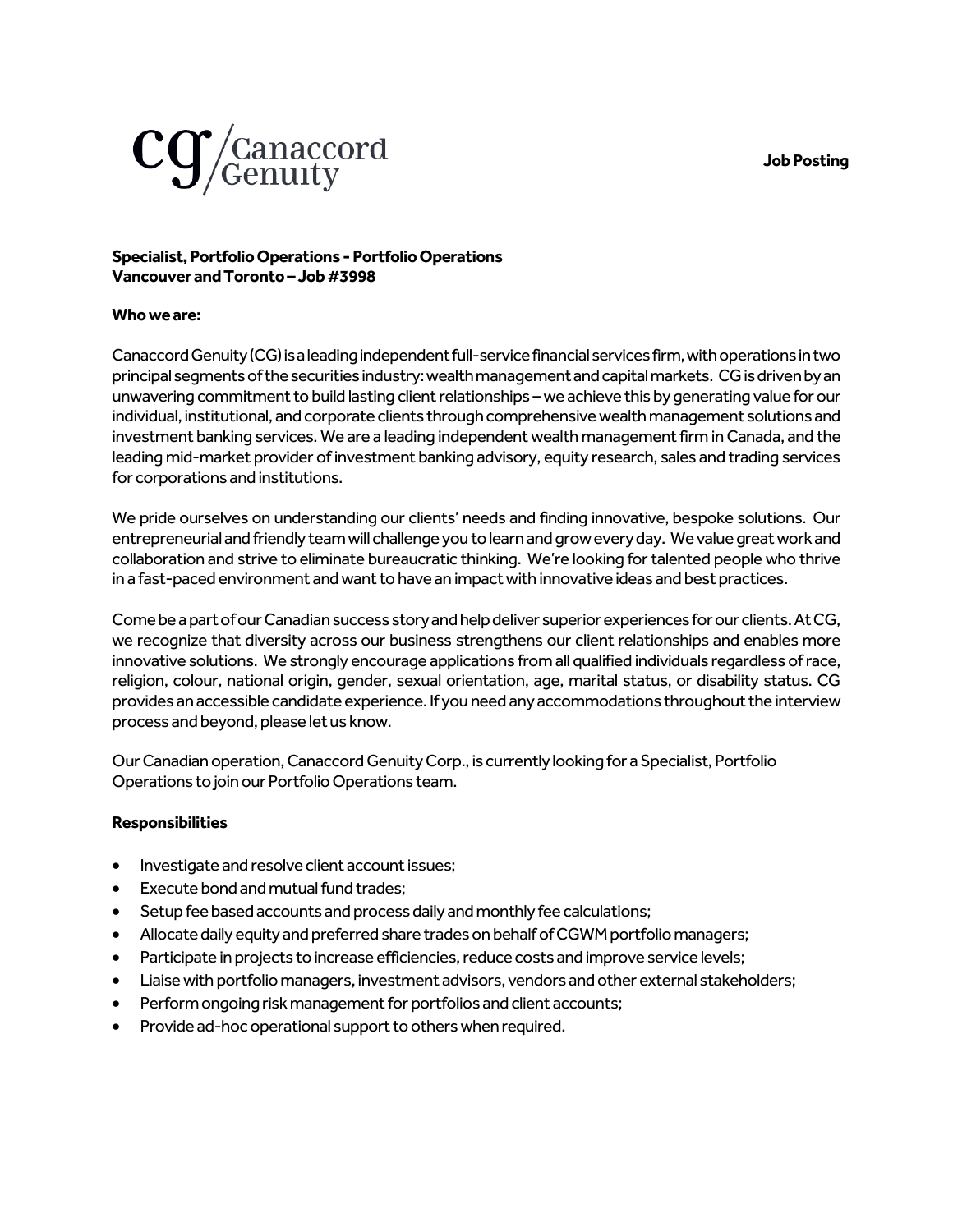**Job Posting**



## **Specialist, Portfolio Operations -Portfolio Operations Vancouver andToronto–Job #3998**

## **Who we are:**

Canaccord Genuity (CG) is a leading independent full-service financial services firm, with operations in two principal segments of the securities industry: wealth management and capital markets. CG is driven by an unwavering commitment to build lasting client relationships –we achieve this by generating value for our individual, institutional, and corporate clients through comprehensive wealth management solutions and investment banking services. We are a leading independent wealth management firm in Canada, and the leading mid-market provider of investment banking advisory, equity research, sales and trading services for corporations and institutions.

We pride ourselves on understanding our clients' needs and finding innovative, bespoke solutions. Our entrepreneurial and friendly team will challenge you to learn and grow every day. We value great work and collaboration and strive to eliminate bureaucratic thinking. We're looking for talented people who thrive in a fast-paced environment and want to have an impact with innovative ideas and best practices.

Come be a part of our Canadian success story and help deliver superior experiences for our clients. At CG, we recognize that diversity across our business strengthens our client relationships and enables more innovative solutions. We strongly encourage applications from all qualified individuals regardless of race, religion, colour, national origin, gender, sexual orientation, age, marital status, or disability status. CG provides an accessible candidate experience. If you need any accommodations throughout the interview process and beyond, please let us know.

Our Canadian operation, Canaccord Genuity Corp., is currently looking for aSpecialist, Portfolio Operations to join our Portfolio Operations team.

## **Responsibilities**

- Investigate and resolve client account issues;
- Execute bond and mutual fund trades;
- Setup fee based accounts and process daily and monthly fee calculations;
- Allocate daily equity and preferred share trades on behalf of CGWM portfolio managers;
- Participate in projects to increase efficiencies, reduce costs and improve service levels;
- Liaise with portfolio managers, investment advisors, vendors and other external stakeholders;
- Perform ongoing risk management for portfolios and client accounts;
- Provide ad-hoc operational support to others when required.